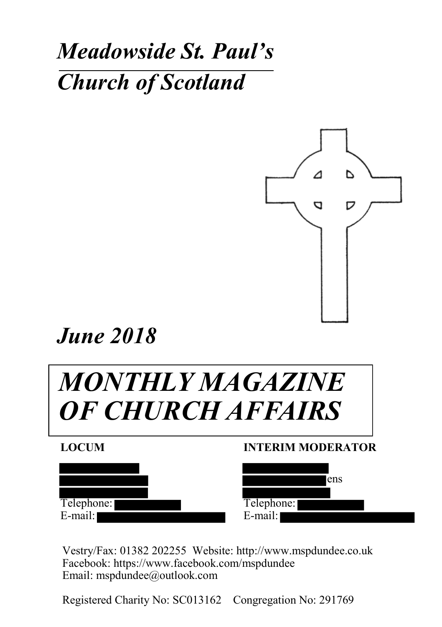## *Meadowside St. Paul's Church of Scotland*



*June 2018*

# *MONTHLY MAGAZINE OF CHURCH AFFAIRS*



#### **INTERIM MODERATOR**



Vestry/Fax: 01382 202255 Website: http://www.mspdundee.co.uk Facebook: https://www.facebook.com/mspdundee Email: mspdundee@outlook.com

Registered Charity No: SC013162 Congregation No: 291769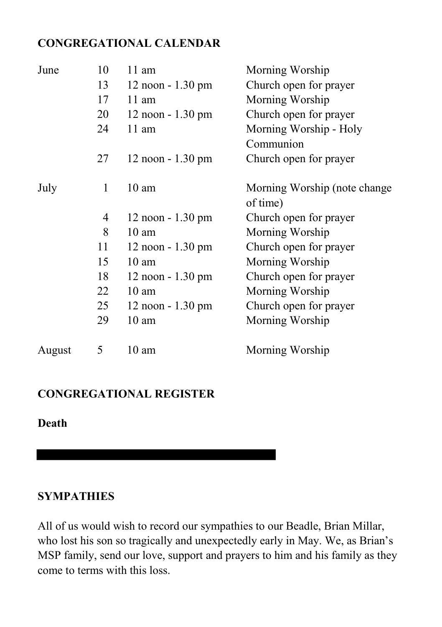## **CONGREGATIONAL CALENDAR**

| June   | 10             | 11 am                | Morning Worship                           |
|--------|----------------|----------------------|-------------------------------------------|
|        | 13             | $12$ noon $-1.30$ pm | Church open for prayer                    |
|        | 17             | $11 \text{ am}$      | Morning Worship                           |
|        | 20             | $12$ noon $-1.30$ pm | Church open for prayer                    |
|        | 24             | $11 \text{ am}$      | Morning Worship - Holy                    |
|        |                |                      | Communion                                 |
|        | 27             | $12$ noon $-1.30$ pm | Church open for prayer                    |
| July   | 1              | $10 \text{ am}$      | Morning Worship (note change)<br>of time) |
|        | $\overline{4}$ | 12 noon - 1.30 pm    | Church open for prayer                    |
|        | 8              | $10 \text{ am}$      | Morning Worship                           |
|        | 11             | $12$ noon $-1.30$ pm | Church open for prayer                    |
|        | 15             | $10 \text{ am}$      | Morning Worship                           |
|        | 18             | $12$ noon $-1.30$ pm | Church open for prayer                    |
|        | 22             | $10 \text{ am}$      | Morning Worship                           |
|        | 25             | $12$ noon $-1.30$ pm | Church open for prayer                    |
|        | 29             | $10 \text{ am}$      | Morning Worship                           |
| August | 5              | 10 am                | Morning Worship                           |

#### **CONGREGATIONAL REGISTER**

**Death**

#### **SYMPATHIES**

All of us would wish to record our sympathies to our Beadle, Brian Millar, who lost his son so tragically and unexpectedly early in May. We, as Brian's MSP family, send our love, support and prayers to him and his family as they come to terms with this loss.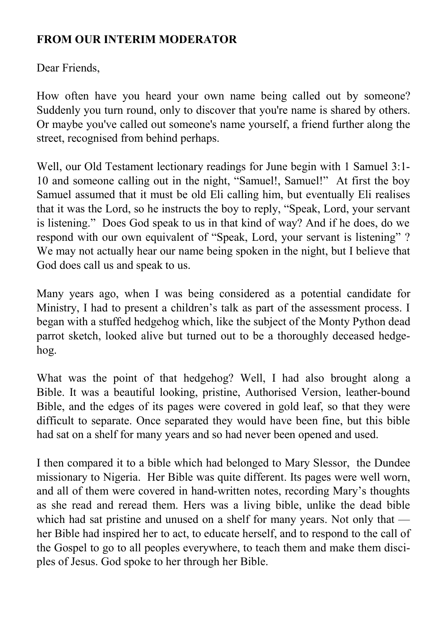## **FROM OUR INTERIM MODERATOR**

Dear Friends,

How often have you heard your own name being called out by someone? Suddenly you turn round, only to discover that you're name is shared by others. Or maybe you've called out someone's name yourself, a friend further along the street, recognised from behind perhaps.

Well, our Old Testament lectionary readings for June begin with 1 Samuel 3:1- 10 and someone calling out in the night, "Samuel!, Samuel!" At first the boy Samuel assumed that it must be old Eli calling him, but eventually Eli realises that it was the Lord, so he instructs the boy to reply, "Speak, Lord, your servant is listening." Does God speak to us in that kind of way? And if he does, do we respond with our own equivalent of "Speak, Lord, your servant is listening" ? We may not actually hear our name being spoken in the night, but I believe that God does call us and speak to us.

Many years ago, when I was being considered as a potential candidate for Ministry, I had to present a children's talk as part of the assessment process. I began with a stuffed hedgehog which, like the subject of the Monty Python dead parrot sketch, looked alive but turned out to be a thoroughly deceased hedgehog.

What was the point of that hedgehog? Well, I had also brought along a Bible. It was a beautiful looking, pristine, Authorised Version, leather-bound Bible, and the edges of its pages were covered in gold leaf, so that they were difficult to separate. Once separated they would have been fine, but this bible had sat on a shelf for many years and so had never been opened and used.

I then compared it to a bible which had belonged to Mary Slessor, the Dundee missionary to Nigeria. Her Bible was quite different. Its pages were well worn, and all of them were covered in hand-written notes, recording Mary's thoughts as she read and reread them. Hers was a living bible, unlike the dead bible which had sat pristine and unused on a shelf for many years. Not only that her Bible had inspired her to act, to educate herself, and to respond to the call of the Gospel to go to all peoples everywhere, to teach them and make them disciples of Jesus. God spoke to her through her Bible.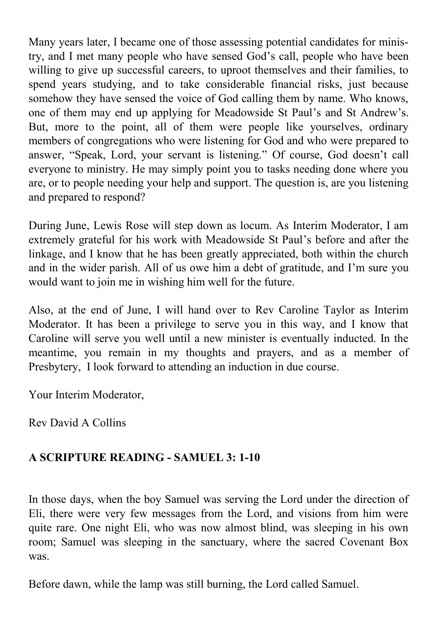Many years later, I became one of those assessing potential candidates for ministry, and I met many people who have sensed God's call, people who have been willing to give up successful careers, to uproot themselves and their families, to spend years studying, and to take considerable financial risks, just because somehow they have sensed the voice of God calling them by name. Who knows, one of them may end up applying for Meadowside St Paul's and St Andrew's. But, more to the point, all of them were people like yourselves, ordinary members of congregations who were listening for God and who were prepared to answer, "Speak, Lord, your servant is listening." Of course, God doesn't call everyone to ministry. He may simply point you to tasks needing done where you are, or to people needing your help and support. The question is, are you listening and prepared to respond?

During June, Lewis Rose will step down as locum. As Interim Moderator, I am extremely grateful for his work with Meadowside St Paul's before and after the linkage, and I know that he has been greatly appreciated, both within the church and in the wider parish. All of us owe him a debt of gratitude, and I'm sure you would want to join me in wishing him well for the future.

Also, at the end of June, I will hand over to Rev Caroline Taylor as Interim Moderator. It has been a privilege to serve you in this way, and I know that Caroline will serve you well until a new minister is eventually inducted. In the meantime, you remain in my thoughts and prayers, and as a member of Presbytery, I look forward to attending an induction in due course.

Your Interim Moderator,

Rev David A Collins

## **A SCRIPTURE READING - SAMUEL 3: 1-10**

In those days, when the boy Samuel was serving the Lord under the direction of Eli, there were very few messages from the Lord, and visions from him were quite rare. One night Eli, who was now almost blind, was sleeping in his own room; Samuel was sleeping in the sanctuary, where the sacred Covenant Box was.

Before dawn, while the lamp was still burning, the Lord called Samuel.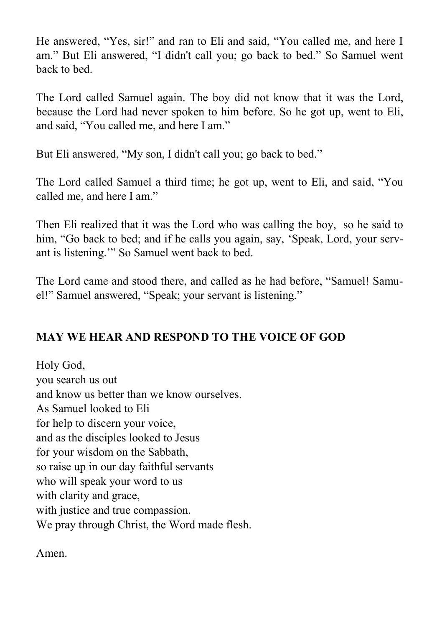He answered, "Yes, sir!" and ran to Eli and said, "You called me, and here I am." But Eli answered, "I didn't call you; go back to bed." So Samuel went back to bed.

The Lord called Samuel again. The boy did not know that it was the Lord, because the Lord had never spoken to him before. So he got up, went to Eli, and said, "You called me, and here I am."

But Eli answered, "My son, I didn't call you; go back to bed."

The Lord called Samuel a third time; he got up, went to Eli, and said, "You called me, and here I am."

Then Eli realized that it was the Lord who was calling the boy, so he said to him, "Go back to bed; and if he calls you again, say, 'Speak, Lord, your servant is listening.'" So Samuel went back to bed.

The Lord came and stood there, and called as he had before, "Samuel! Samuel!" Samuel answered, "Speak; your servant is listening."

## **MAY WE HEAR AND RESPOND TO THE VOICE OF GOD**

Holy God, you search us out and know us better than we know ourselves. As Samuel looked to Eli for help to discern your voice, and as the disciples looked to Jesus for your wisdom on the Sabbath, so raise up in our day faithful servants who will speak your word to us with clarity and grace, with justice and true compassion. We pray through Christ, the Word made flesh.

Amen.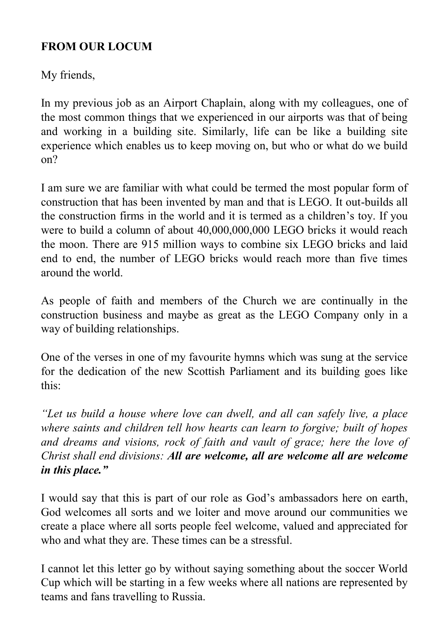## **FROM OUR LOCUM**

My friends,

In my previous job as an Airport Chaplain, along with my colleagues, one of the most common things that we experienced in our airports was that of being and working in a building site. Similarly, life can be like a building site experience which enables us to keep moving on, but who or what do we build on?

I am sure we are familiar with what could be termed the most popular form of construction that has been invented by man and that is LEGO. It out-builds all the construction firms in the world and it is termed as a children's toy. If you were to build a column of about 40,000,000,000 LEGO bricks it would reach the moon. There are 915 million ways to combine six LEGO bricks and laid end to end, the number of LEGO bricks would reach more than five times around the world.

As people of faith and members of the Church we are continually in the construction business and maybe as great as the LEGO Company only in a way of building relationships.

One of the verses in one of my favourite hymns which was sung at the service for the dedication of the new Scottish Parliament and its building goes like this:

*"Let us build a house where love can dwell, and all can safely live, a place where saints and children tell how hearts can learn to forgive; built of hopes and dreams and visions, rock of faith and vault of grace; here the love of Christ shall end divisions: All are welcome, all are welcome all are welcome in this place."*

I would say that this is part of our role as God's ambassadors here on earth, God welcomes all sorts and we loiter and move around our communities we create a place where all sorts people feel welcome, valued and appreciated for who and what they are. These times can be a stressful.

I cannot let this letter go by without saying something about the soccer World Cup which will be starting in a few weeks where all nations are represented by teams and fans travelling to Russia.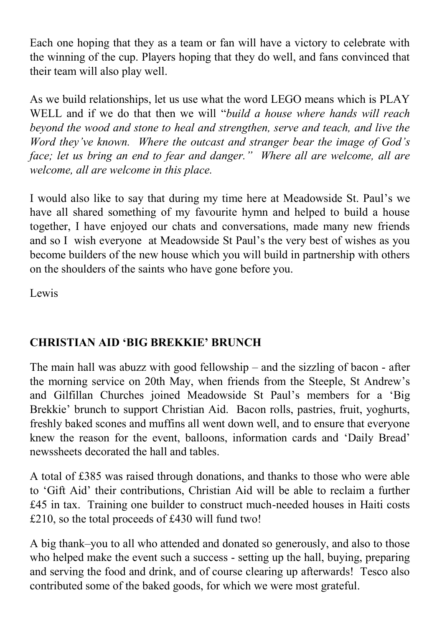Each one hoping that they as a team or fan will have a victory to celebrate with the winning of the cup. Players hoping that they do well, and fans convinced that their team will also play well.

As we build relationships, let us use what the word LEGO means which is PLAY WELL and if we do that then we will "*build a house where hands will reach beyond the wood and stone to heal and strengthen, serve and teach, and live the Word they've known. Where the outcast and stranger bear the image of God's face; let us bring an end to fear and danger." Where all are welcome, all are welcome, all are welcome in this place.*

I would also like to say that during my time here at Meadowside St. Paul's we have all shared something of my favourite hymn and helped to build a house together, I have enjoyed our chats and conversations, made many new friends and so I wish everyone at Meadowside St Paul's the very best of wishes as you become builders of the new house which you will build in partnership with others on the shoulders of the saints who have gone before you.

Lewis

## **CHRISTIAN AID 'BIG BREKKIE' BRUNCH**

The main hall was abuzz with good fellowship – and the sizzling of bacon - after the morning service on 20th May, when friends from the Steeple, St Andrew's and Gilfillan Churches joined Meadowside St Paul's members for a 'Big Brekkie' brunch to support Christian Aid. Bacon rolls, pastries, fruit, yoghurts, freshly baked scones and muffins all went down well, and to ensure that everyone knew the reason for the event, balloons, information cards and 'Daily Bread' newssheets decorated the hall and tables.

A total of £385 was raised through donations, and thanks to those who were able to 'Gift Aid' their contributions, Christian Aid will be able to reclaim a further £45 in tax. Training one builder to construct much-needed houses in Haiti costs £210, so the total proceeds of £430 will fund two!

A big thank–you to all who attended and donated so generously, and also to those who helped make the event such a success - setting up the hall, buying, preparing and serving the food and drink, and of course clearing up afterwards! Tesco also contributed some of the baked goods, for which we were most grateful.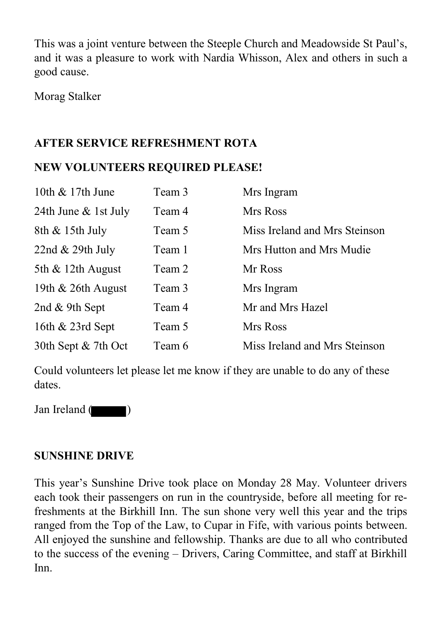This was a joint venture between the Steeple Church and Meadowside St Paul's, and it was a pleasure to work with Nardia Whisson, Alex and others in such a good cause.

Morag Stalker

## **AFTER SERVICE REFRESHMENT ROTA**

## **NEW VOLUNTEERS REQUIRED PLEASE!**

| 10th & 17th June      | Team 3 | Mrs Ingram                    |
|-----------------------|--------|-------------------------------|
| 24th June & 1st July  | Team 4 | Mrs Ross                      |
| 8th & 15th July       | Team 5 | Miss Ireland and Mrs Steinson |
| 22nd & 29th July      | Team 1 | Mrs Hutton and Mrs Mudie      |
| 5th $\&$ 12th August  | Team 2 | Mr Ross                       |
| 19th $& 26$ th August | Team 3 | Mrs Ingram                    |
| 2nd & 9th Sept        | Team 4 | Mr and Mrs Hazel              |
| 16th $& 23rd$ Sept    | Team 5 | Mrs Ross                      |
| 30th Sept & 7th Oct   | Team 6 | Miss Ireland and Mrs Steinson |

Could volunteers let please let me know if they are unable to do any of these dates.

Jan Ireland (

#### **SUNSHINE DRIVE**

This year's Sunshine Drive took place on Monday 28 May. Volunteer drivers each took their passengers on run in the countryside, before all meeting for refreshments at the Birkhill Inn. The sun shone very well this year and the trips ranged from the Top of the Law, to Cupar in Fife, with various points between. All enjoyed the sunshine and fellowship. Thanks are due to all who contributed to the success of the evening – Drivers, Caring Committee, and staff at Birkhill Inn.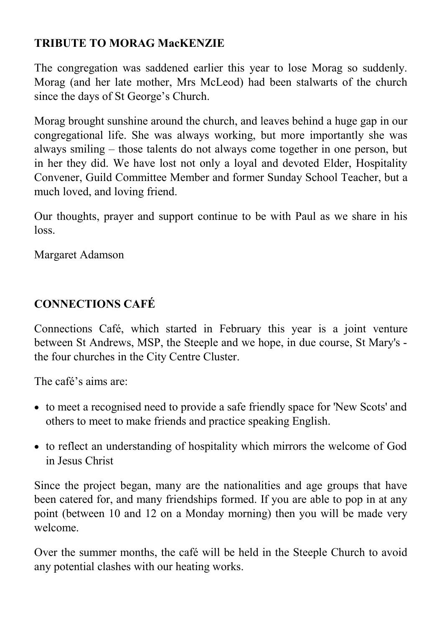## **TRIBUTE TO MORAG MacKENZIE**

The congregation was saddened earlier this year to lose Morag so suddenly. Morag (and her late mother, Mrs McLeod) had been stalwarts of the church since the days of St George's Church.

Morag brought sunshine around the church, and leaves behind a huge gap in our congregational life. She was always working, but more importantly she was always smiling – those talents do not always come together in one person, but in her they did. We have lost not only a loyal and devoted Elder, Hospitality Convener, Guild Committee Member and former Sunday School Teacher, but a much loved, and loving friend.

Our thoughts, prayer and support continue to be with Paul as we share in his loss.

Margaret Adamson

## **CONNECTIONS CAFÉ**

Connections Café, which started in February this year is a joint venture between St Andrews, MSP, the Steeple and we hope, in due course, St Mary's the four churches in the City Centre Cluster.

The café's aims are:

- to meet a recognised need to provide a safe friendly space for 'New Scots' and others to meet to make friends and practice speaking English.
- to reflect an understanding of hospitality which mirrors the welcome of God in Jesus Christ

Since the project began, many are the nationalities and age groups that have been catered for, and many friendships formed. If you are able to pop in at any point (between 10 and 12 on a Monday morning) then you will be made very welcome.

Over the summer months, the café will be held in the Steeple Church to avoid any potential clashes with our heating works.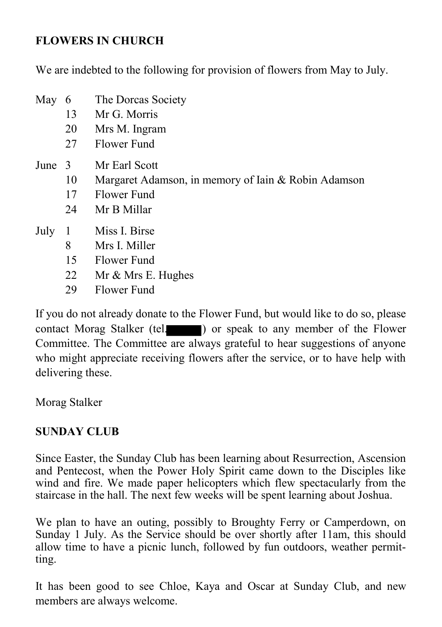#### **FLOWERS IN CHURCH**

We are indebted to the following for provision of flowers from May to July.

- May 6 The Dorcas Society
	- 13 Mr G. Morris
	- 20 Mrs M. Ingram
	- 27 Flower Fund
- June 3 Mr Earl Scott
	- 10 Margaret Adamson, in memory of Iain & Robin Adamson
	- 17 Flower Fund
	- 24 Mr B Millar
- July 1 Miss I. Birse
	- 8 Mrs I. Miller
	- 15 Flower Fund
	- 22 Mr & Mrs E. Hughes
	- 29 Flower Fund

If you do not already donate to the Flower Fund, but would like to do so, please contact Morag Stalker (tel. ) or speak to any member of the Flower Committee. The Committee are always grateful to hear suggestions of anyone who might appreciate receiving flowers after the service, or to have help with delivering these.

Morag Stalker

#### **SUNDAY CLUB**

Since Easter, the Sunday Club has been learning about Resurrection, Ascension and Pentecost, when the Power Holy Spirit came down to the Disciples like wind and fire. We made paper helicopters which flew spectacularly from the staircase in the hall. The next few weeks will be spent learning about Joshua.

We plan to have an outing, possibly to Broughty Ferry or Camperdown, on Sunday 1 July. As the Service should be over shortly after 11am, this should allow time to have a picnic lunch, followed by fun outdoors, weather permitting.

It has been good to see Chloe, Kaya and Oscar at Sunday Club, and new members are always welcome.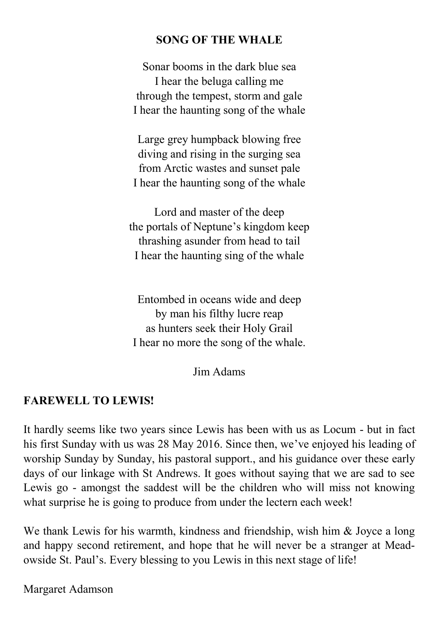#### **SONG OF THE WHALE**

Sonar booms in the dark blue sea I hear the beluga calling me through the tempest, storm and gale I hear the haunting song of the whale

Large grey humpback blowing free diving and rising in the surging sea from Arctic wastes and sunset pale I hear the haunting song of the whale

Lord and master of the deep the portals of Neptune's kingdom keep thrashing asunder from head to tail I hear the haunting sing of the whale

Entombed in oceans wide and deep by man his filthy lucre reap as hunters seek their Holy Grail I hear no more the song of the whale.

Jim Adams

#### **FAREWELL TO LEWIS!**

It hardly seems like two years since Lewis has been with us as Locum - but in fact his first Sunday with us was 28 May 2016. Since then, we've enjoyed his leading of worship Sunday by Sunday, his pastoral support., and his guidance over these early days of our linkage with St Andrews. It goes without saying that we are sad to see Lewis go - amongst the saddest will be the children who will miss not knowing what surprise he is going to produce from under the lectern each week!

We thank Lewis for his warmth, kindness and friendship, wish him & Joyce a long and happy second retirement, and hope that he will never be a stranger at Meadowside St. Paul's. Every blessing to you Lewis in this next stage of life!

Margaret Adamson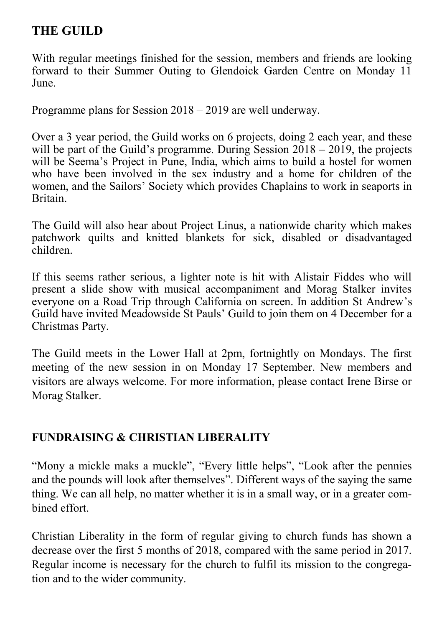## **THE GUILD**

With regular meetings finished for the session, members and friends are looking forward to their Summer Outing to Glendoick Garden Centre on Monday 11 June.

Programme plans for Session 2018 – 2019 are well underway.

Over a 3 year period, the Guild works on 6 projects, doing 2 each year, and these will be part of the Guild's programme. During Session  $2018 - 2019$ , the projects will be Seema's Project in Pune, India, which aims to build a hostel for women who have been involved in the sex industry and a home for children of the women, and the Sailors' Society which provides Chaplains to work in seaports in Britain.

The Guild will also hear about Project Linus, a nationwide charity which makes patchwork quilts and knitted blankets for sick, disabled or disadvantaged children.

If this seems rather serious, a lighter note is hit with Alistair Fiddes who will present a slide show with musical accompaniment and Morag Stalker invites everyone on a Road Trip through California on screen. In addition St Andrew's Guild have invited Meadowside St Pauls' Guild to join them on 4 December for a Christmas Party.

The Guild meets in the Lower Hall at 2pm, fortnightly on Mondays. The first meeting of the new session in on Monday 17 September. New members and visitors are always welcome. For more information, please contact Irene Birse or Morag Stalker.

## **FUNDRAISING & CHRISTIAN LIBERALITY**

"Mony a mickle maks a muckle", "Every little helps", "Look after the pennies and the pounds will look after themselves". Different ways of the saying the same thing. We can all help, no matter whether it is in a small way, or in a greater combined effort.

Christian Liberality in the form of regular giving to church funds has shown a decrease over the first 5 months of 2018, compared with the same period in 2017. Regular income is necessary for the church to fulfil its mission to the congregation and to the wider community.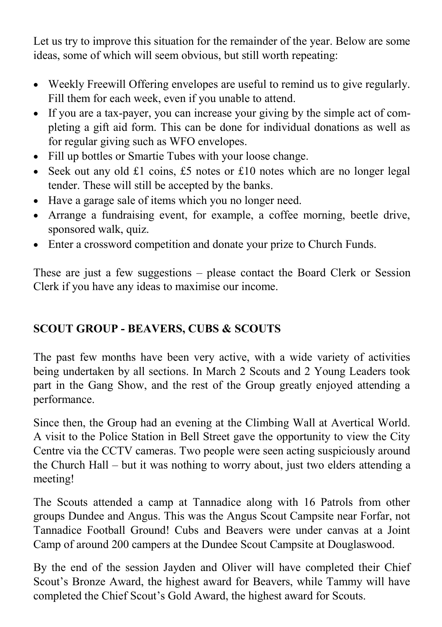Let us try to improve this situation for the remainder of the year. Below are some ideas, some of which will seem obvious, but still worth repeating:

- Weekly Freewill Offering envelopes are useful to remind us to give regularly. Fill them for each week, even if you unable to attend.
- If you are a tax-payer, you can increase your giving by the simple act of completing a gift aid form. This can be done for individual donations as well as for regular giving such as WFO envelopes.
- Fill up bottles or Smartie Tubes with your loose change.
- Seek out any old £1 coins, £5 notes or £10 notes which are no longer legal tender. These will still be accepted by the banks.
- Have a garage sale of items which you no longer need.
- Arrange a fundraising event, for example, a coffee morning, beetle drive, sponsored walk, quiz.
- Enter a crossword competition and donate your prize to Church Funds.

These are just a few suggestions – please contact the Board Clerk or Session Clerk if you have any ideas to maximise our income.

## **SCOUT GROUP - BEAVERS, CUBS & SCOUTS**

The past few months have been very active, with a wide variety of activities being undertaken by all sections. In March 2 Scouts and 2 Young Leaders took part in the Gang Show, and the rest of the Group greatly enjoyed attending a performance.

Since then, the Group had an evening at the Climbing Wall at Avertical World. A visit to the Police Station in Bell Street gave the opportunity to view the City Centre via the CCTV cameras. Two people were seen acting suspiciously around the Church Hall – but it was nothing to worry about, just two elders attending a meeting!

The Scouts attended a camp at Tannadice along with 16 Patrols from other groups Dundee and Angus. This was the Angus Scout Campsite near Forfar, not Tannadice Football Ground! Cubs and Beavers were under canvas at a Joint Camp of around 200 campers at the Dundee Scout Campsite at Douglaswood.

By the end of the session Jayden and Oliver will have completed their Chief Scout's Bronze Award, the highest award for Beavers, while Tammy will have completed the Chief Scout's Gold Award, the highest award for Scouts.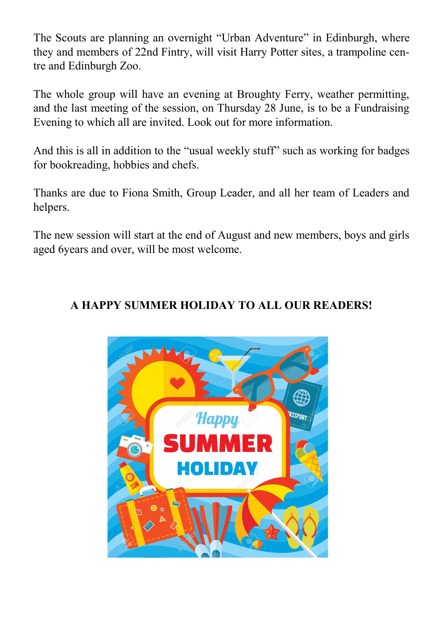The Scouts are planning an overnight "Urban Adventure" in Edinburgh, where they and members of 22nd Fintry, will visit Harry Potter sites, a trampoline centre and Edinburgh Zoo.

The whole group will have an evening at Broughty Ferry, weather permitting, and the last meeting of the session, on Thursday 28 June, is to be a Fundraising Evening to which all are invited. Look out for more information.

And this is all in addition to the "usual weekly stuff" such as working for badges for bookreading, hobbies and chefs.

Thanks are due to Fiona Smith, Group Leader, and all her team of Leaders and helpers.

The new session will start at the end of August and new members, boys and girls aged 6years and over, will be most welcome.

#### **A HAPPY SUMMER HOLIDAY TO ALL OUR READERS!**

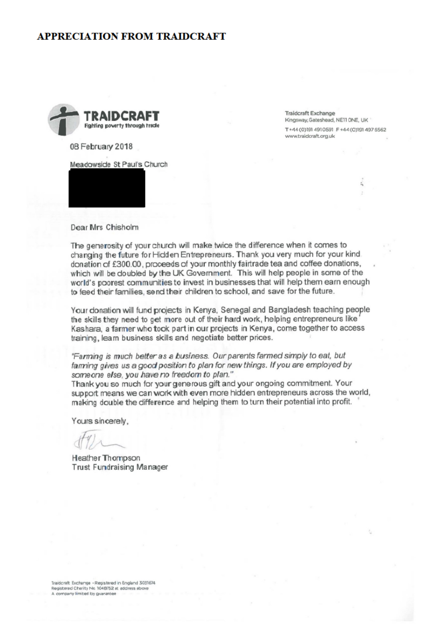#### **APPRECIATION FROM TRAIDCRAFT**



**Traidcraft Exchange** Kingsway, Gateshead, NE11 ONE, UK T+44 (0)191 4910591 F+44 (0)191 497 6562 www.traidcraft.org.uk

08 February 2018

Meadowside St Paul's Church



Dear Mrs Chisholm

The generosity of your church will make twice the difference when it comes to changing the future for Hidden Entrepreneurs. Thank you very much for your kind. donation of £300.00, proceeds of your monthly fairtrade tea and coffee donations, which will be doubled by the UK Government. This will help people in some of the world's poorest communities to invest in businesses that will help them earn enough to feed their families, send their children to school, and save for the future.

Your donation will fund projects in Kenya, Senegal and Bangladesh teaching people the skills they need to get more out of their hard work, helping entrepreneurs like Kashara, a farmer who took part in our projects in Kenya, come together to access training, learn business skills and negotiate better prices.

"Farming is much better as a business. Our parents farmed simply to eat, but farming gives us a good position to plan for new things. If you are employed by someone else, you have no freedom to plan."

Thank you so much for your generous gift and your ongoing commitment. Your support means we can work with even more hidden entrepreneurs across the world, making double the difference and helping them to turn their potential into profit.

Yours sincerely,

**Heather Thompson Trust Fundraising Manager**